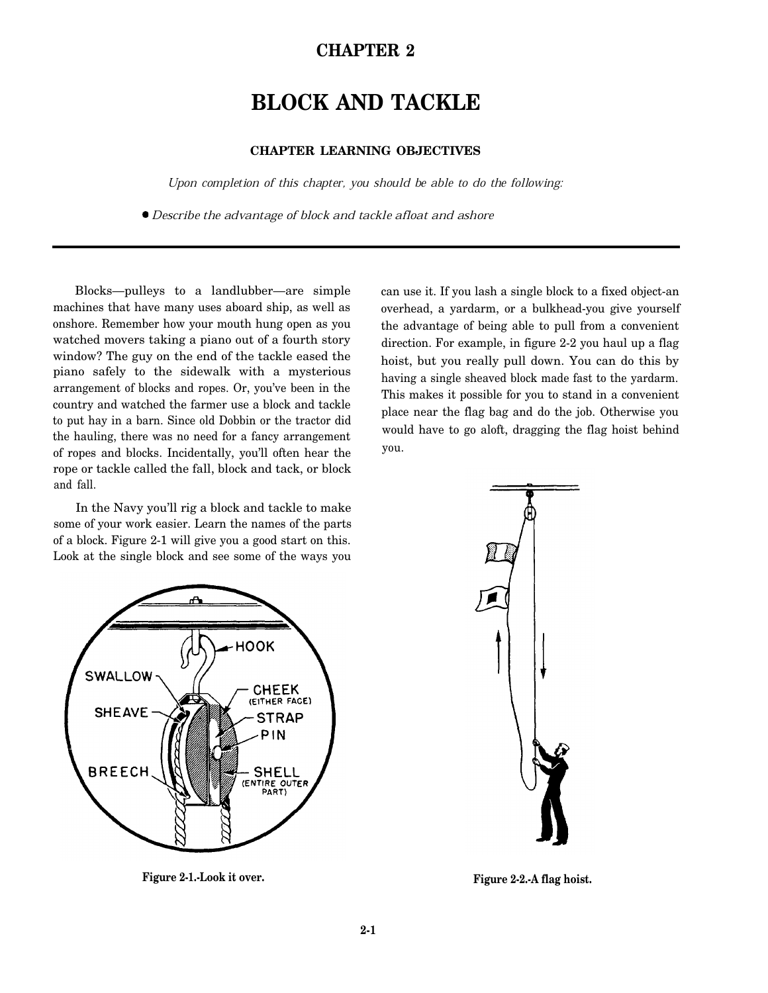## **CHAPTER 2**

# **BLOCK AND TACKLE**

### **CHAPTER LEARNING OBJECTIVES**

Upon completion of this chapter, you should be able to do the following:

Describe the advantage of block and tackle afloat and ashore

Blocks—pulleys to a landlubber—are simple machines that have many uses aboard ship, as well as onshore. Remember how your mouth hung open as you watched movers taking a piano out of a fourth story window? The guy on the end of the tackle eased the piano safely to the sidewalk with a mysterious arrangement of blocks and ropes. Or, you've been in the country and watched the farmer use a block and tackle to put hay in a barn. Since old Dobbin or the tractor did the hauling, there was no need for a fancy arrangement of ropes and blocks. Incidentally, you'll often hear the rope or tackle called the fall, block and tack, or block and fall.

In the Navy you'll rig a block and tackle to make some of your work easier. Learn the names of the parts of a block. Figure 2-1 will give you a good start on this. Look at the single block and see some of the ways you

can use it. If you lash a single block to a fixed object-an overhead, a yardarm, or a bulkhead-you give yourself the advantage of being able to pull from a convenient direction. For example, in figure 2-2 you haul up a flag hoist, but you really pull down. You can do this by having a single sheaved block made fast to the yardarm. This makes it possible for you to stand in a convenient place near the flag bag and do the job. Otherwise you would have to go aloft, dragging the flag hoist behind you.



**Figure 2-1.-Look it over. Figure 2-2.-A flag hoist.**

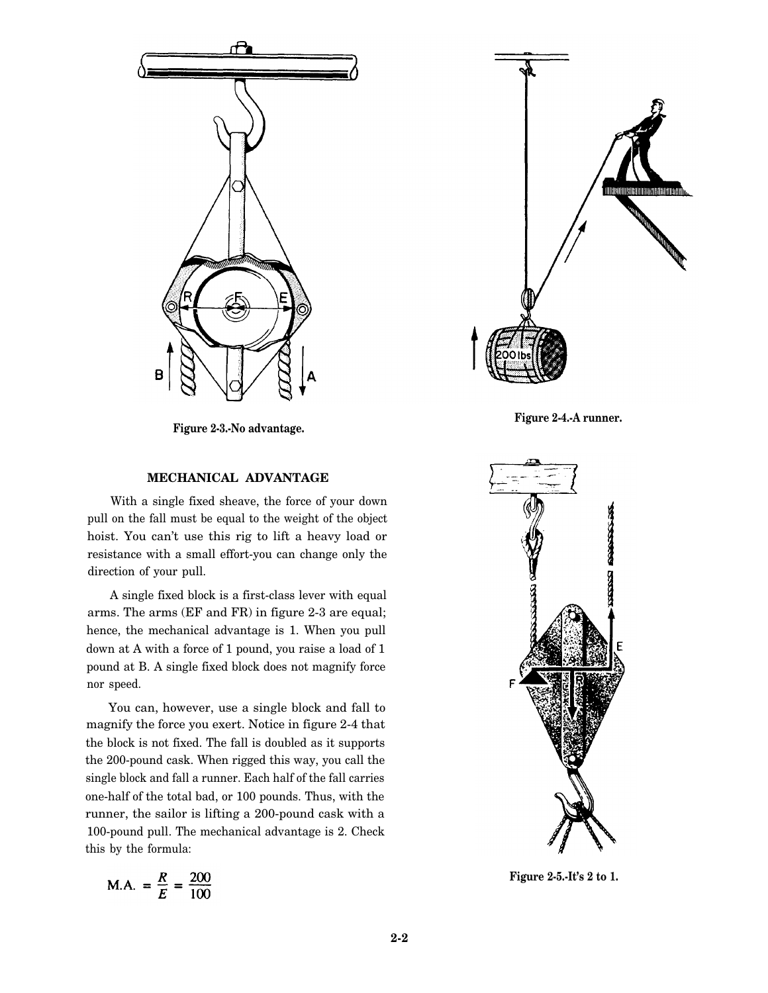

**Figure 2-3.-No advantage.**



**Figure 2-4.-A runner.**

### **MECHANICAL ADVANTAGE**

With a single fixed sheave, the force of your down pull on the fall must be equal to the weight of the object hoist. You can't use this rig to lift a heavy load or resistance with a small effort-you can change only the direction of your pull.

A single fixed block is a first-class lever with equal arms. The arms (EF and FR) in figure 2-3 are equal; hence, the mechanical advantage is 1. When you pull down at A with a force of 1 pound, you raise a load of 1 pound at B. A single fixed block does not magnify force nor speed.

You can, however, use a single block and fall to magnify the force you exert. Notice in figure 2-4 that the block is not fixed. The fall is doubled as it supports the 200-pound cask. When rigged this way, you call the single block and fall a runner. Each half of the fall carries one-half of the total bad, or 100 pounds. Thus, with the runner, the sailor is lifting a 200-pound cask with a 100-pound pull. The mechanical advantage is 2. Check this by the formula:

$$
\begin{array}{c}\n\hline\n\end{array}
$$

**Figure 2-5.-It's 2 to 1.**

$$
M.A. = \frac{R}{E} = \frac{200}{100}
$$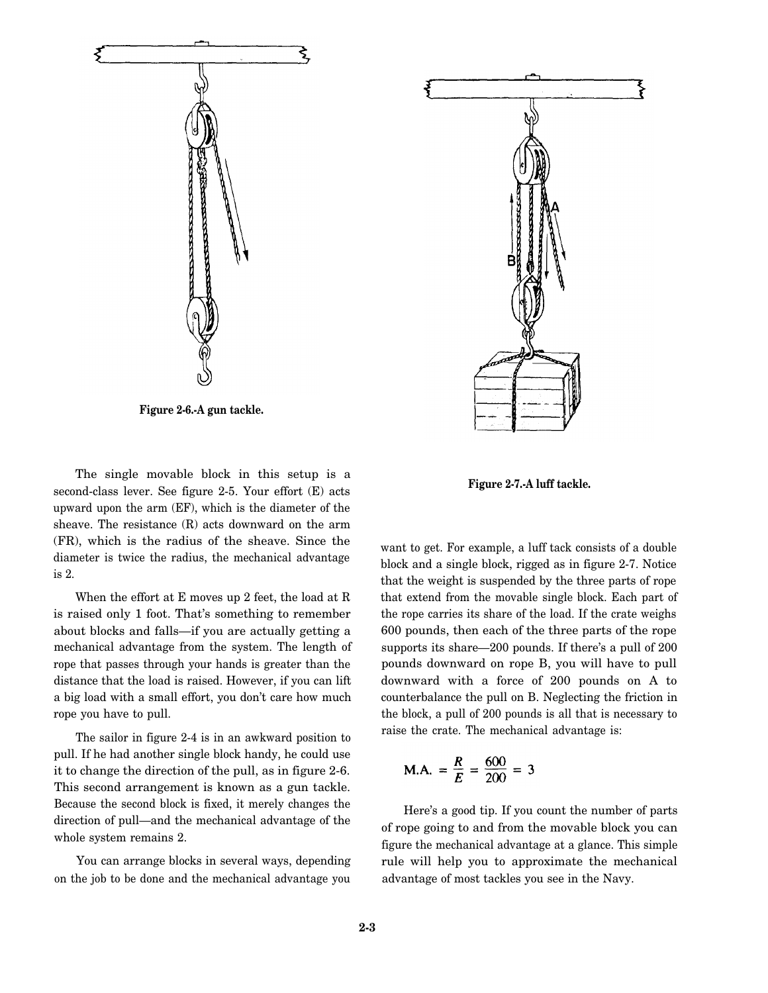

**Figure 2-6.-A gun tackle.**

The single movable block in this setup is a second-class lever. See figure 2-5. Your effort (E) acts upward upon the arm (EF), which is the diameter of the sheave. The resistance (R) acts downward on the arm (FR), which is the radius of the sheave. Since the diameter is twice the radius, the mechanical advantage is 2.

When the effort at E moves up 2 feet, the load at R is raised only 1 foot. That's something to remember about blocks and falls—if you are actually getting a mechanical advantage from the system. The length of rope that passes through your hands is greater than the distance that the load is raised. However, if you can lift a big load with a small effort, you don't care how much rope you have to pull.

The sailor in figure 2-4 is in an awkward position to pull. If he had another single block handy, he could use it to change the direction of the pull, as in figure 2-6. This second arrangement is known as a gun tackle. Because the second block is fixed, it merely changes the direction of pull—and the mechanical advantage of the

on the job to be done and the mechanical advantage you advantage of most tackles you see in the Navy.



**Figure 2-7.-A luff tackle.**

want to get. For example, a luff tack consists of a double block and a single block, rigged as in figure 2-7. Notice that the weight is suspended by the three parts of rope that extend from the movable single block. Each part of the rope carries its share of the load. If the crate weighs 600 pounds, then each of the three parts of the rope supports its share—200 pounds. If there's a pull of 200 pounds downward on rope B, you will have to pull downward with a force of 200 pounds on A to counterbalance the pull on B. Neglecting the friction in the block, a pull of 200 pounds is all that is necessary to raise the crate. The mechanical advantage is:

$$
M.A. = \frac{R}{E} = \frac{600}{200} = 3
$$

Here's a good tip. If you count the number of parts of rope going to and from the movable block you can whole system remains 2.<br>figure the mechanical advantage at a glance. This simple You can arrange blocks in several ways, depending rule will help you to approximate the mechanical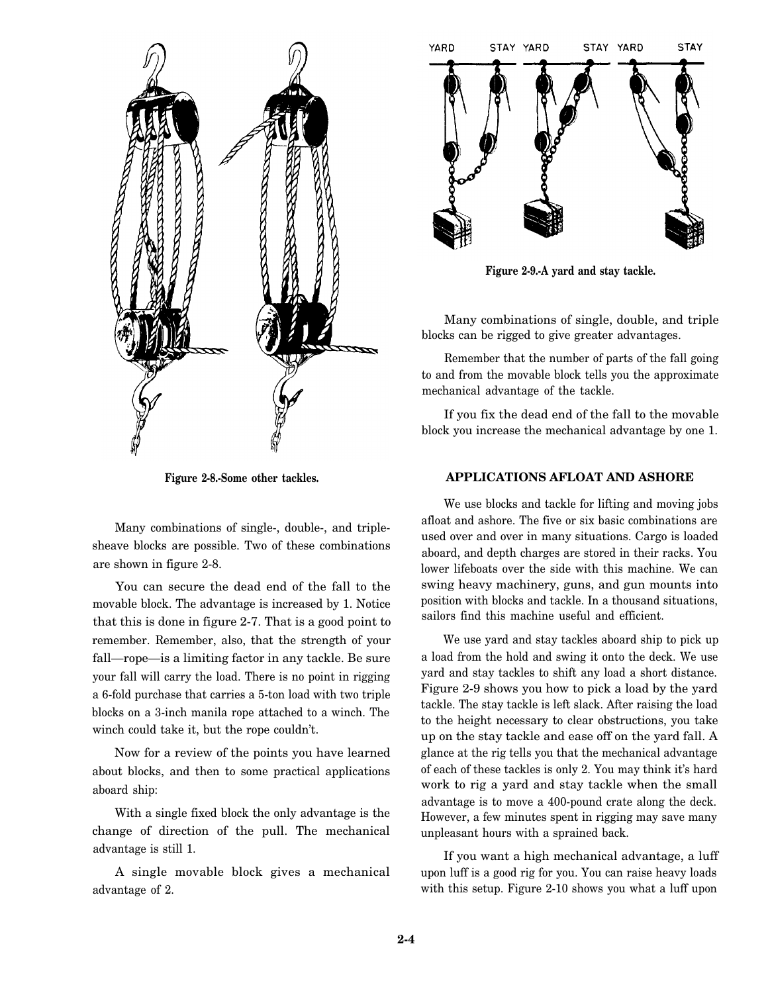

**Figure 2-8.-Some other tackles.**

Many combinations of single-, double-, and triplesheave blocks are possible. Two of these combinations are shown in figure 2-8.

You can secure the dead end of the fall to the movable block. The advantage is increased by 1. Notice that this is done in figure 2-7. That is a good point to remember. Remember, also, that the strength of your fall—rope—is a limiting factor in any tackle. Be sure your fall will carry the load. There is no point in rigging a 6-fold purchase that carries a 5-ton load with two triple blocks on a 3-inch manila rope attached to a winch. The winch could take it, but the rope couldn't.

Now for a review of the points you have learned about blocks, and then to some practical applications aboard ship:

With a single fixed block the only advantage is the change of direction of the pull. The mechanical advantage is still 1.

A single movable block gives a mechanical advantage of 2.



**Figure 2-9.-A yard and stay tackle.**

Many combinations of single, double, and triple blocks can be rigged to give greater advantages.

Remember that the number of parts of the fall going to and from the movable block tells you the approximate mechanical advantage of the tackle.

If you fix the dead end of the fall to the movable block you increase the mechanical advantage by one 1.

### **APPLICATIONS AFLOAT AND ASHORE**

We use blocks and tackle for lifting and moving jobs afloat and ashore. The five or six basic combinations are used over and over in many situations. Cargo is loaded aboard, and depth charges are stored in their racks. You lower lifeboats over the side with this machine. We can swing heavy machinery, guns, and gun mounts into position with blocks and tackle. In a thousand situations, sailors find this machine useful and efficient.

We use yard and stay tackles aboard ship to pick up a load from the hold and swing it onto the deck. We use yard and stay tackles to shift any load a short distance. Figure 2-9 shows you how to pick a load by the yard tackle. The stay tackle is left slack. After raising the load to the height necessary to clear obstructions, you take up on the stay tackle and ease off on the yard fall. A glance at the rig tells you that the mechanical advantage of each of these tackles is only 2. You may think it's hard work to rig a yard and stay tackle when the small advantage is to move a 400-pound crate along the deck. However, a few minutes spent in rigging may save many unpleasant hours with a sprained back.

If you want a high mechanical advantage, a luff upon luff is a good rig for you. You can raise heavy loads with this setup. Figure 2-10 shows you what a luff upon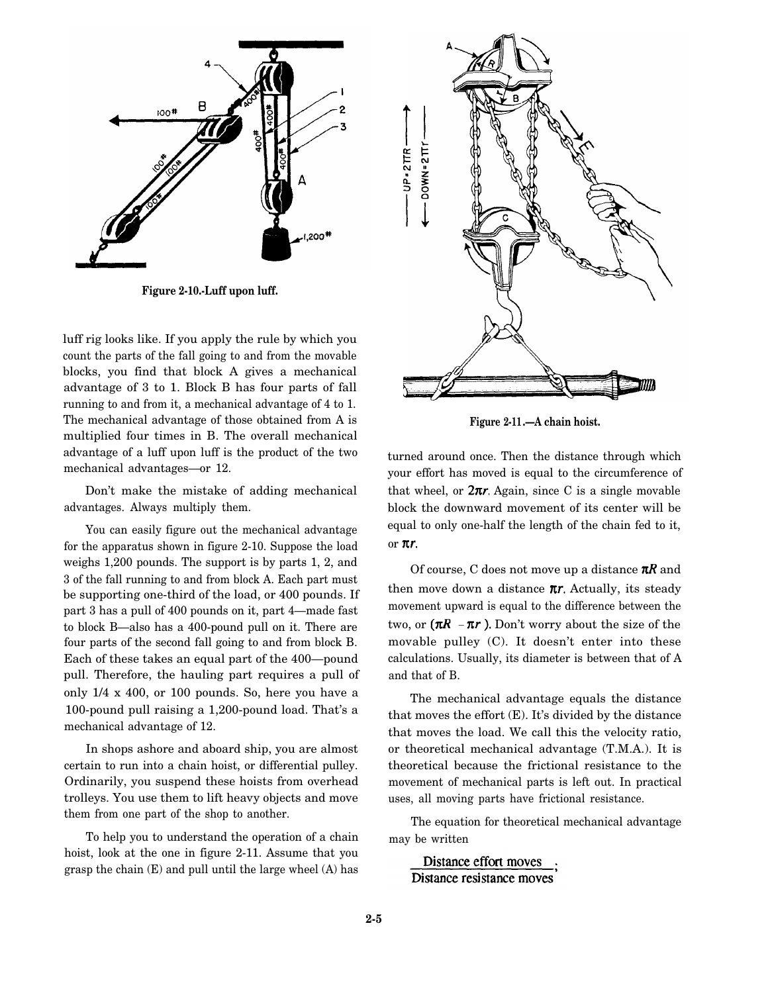

**Figure 2-10.-Luff upon luff.**

luff rig looks like. If you apply the rule by which you count the parts of the fall going to and from the movable blocks, you find that block A gives a mechanical advantage of 3 to 1. Block B has four parts of fall running to and from it, a mechanical advantage of 4 to 1. The mechanical advantage of those obtained from A is multiplied four times in B. The overall mechanical advantage of a luff upon luff is the product of the two mechanical advantages—or 12.

Don't make the mistake of adding mechanical advantages. Always multiply them.

You can easily figure out the mechanical advantage for the apparatus shown in figure 2-10. Suppose the load weighs 1,200 pounds. The support is by parts 1, 2, and 3 of the fall running to and from block A. Each part must be supporting one-third of the load, or 400 pounds. If part 3 has a pull of 400 pounds on it, part 4—made fast to block B—also has a 400-pound pull on it. There are four parts of the second fall going to and from block B. Each of these takes an equal part of the 400—pound pull. Therefore, the hauling part requires a pull of only 1/4 x 400, or 100 pounds. So, here you have a 100-pound pull raising a 1,200-pound load. That's a mechanical advantage of 12.

In shops ashore and aboard ship, you are almost certain to run into a chain hoist, or differential pulley. Ordinarily, you suspend these hoists from overhead trolleys. You use them to lift heavy objects and move them from one part of the shop to another.

To help you to understand the operation of a chain hoist, look at the one in figure 2-11. Assume that you grasp the chain (E) and pull until the large wheel (A) has



**Figure 2-11.—A chain hoist.**

turned around once. Then the distance through which your effort has moved is equal to the circumference of that wheel, or  $2\pi r$ . Again, since C is a single movable block the downward movement of its center will be equal to only one-half the length of the chain fed to it, or  $\pi r$ .

Of course, C does not move up a distance  $\pi R$  and then move down a distance  $\pi r$ . Actually, its steady movement upward is equal to the difference between the two, or  $(\pi R - \pi r)$ . Don't worry about the size of the movable pulley (C). It doesn't enter into these calculations. Usually, its diameter is between that of A and that of B.

The mechanical advantage equals the distance that moves the effort (E). It's divided by the distance that moves the load. We call this the velocity ratio, or theoretical mechanical advantage (T.M.A.). It is theoretical because the frictional resistance to the movement of mechanical parts is left out. In practical uses, all moving parts have frictional resistance.

The equation for theoretical mechanical advantage may be written

Distance effort moves Distance resistance moves